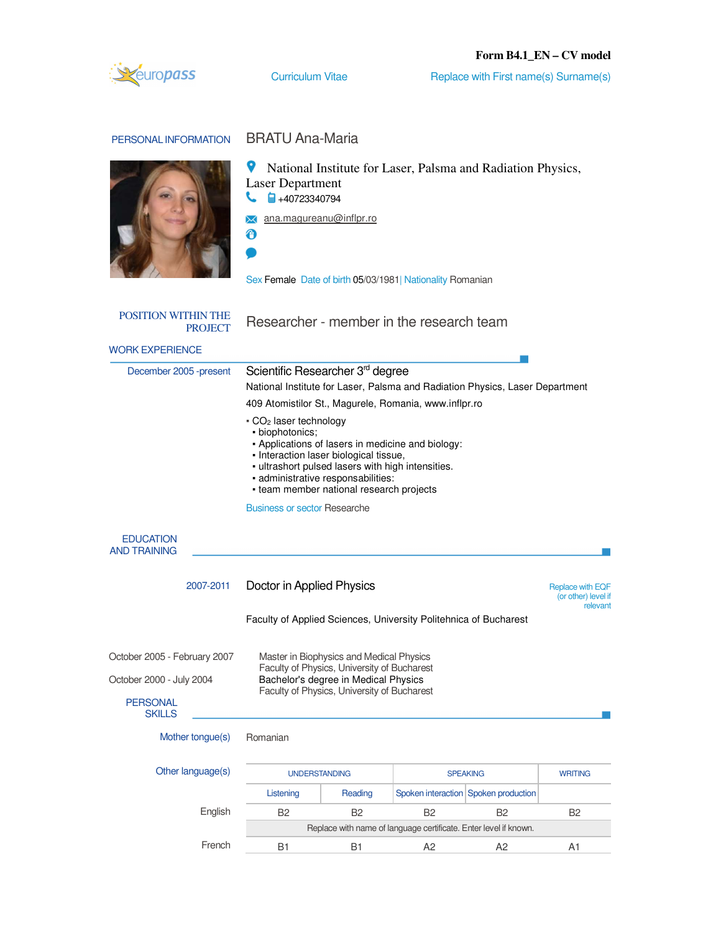# **Form B4.1\_EN – CV model**



Curriculum Vitae Replace with First name(s) Surname(s)

| PERSONAL INFORMATION                                                                         | <b>BRATU Ana-Maria</b>                                                                                                                                                                                             |                                                                                                                                                                                                                                    |                |                                                                              |                                                            |
|----------------------------------------------------------------------------------------------|--------------------------------------------------------------------------------------------------------------------------------------------------------------------------------------------------------------------|------------------------------------------------------------------------------------------------------------------------------------------------------------------------------------------------------------------------------------|----------------|------------------------------------------------------------------------------|------------------------------------------------------------|
|                                                                                              | National Institute for Laser, Palsma and Radiation Physics,<br><b>Laser Department</b><br>$\frac{1}{24}$ +40723340794<br>ana.magureanu@inflpr.ro<br>⊕<br>Sex Female Date of birth 05/03/1981  Nationality Romanian |                                                                                                                                                                                                                                    |                |                                                                              |                                                            |
| <b>POSITION WITHIN THE</b><br><b>PROJECT</b>                                                 | Researcher - member in the research team                                                                                                                                                                           |                                                                                                                                                                                                                                    |                |                                                                              |                                                            |
| <b>WORK EXPERIENCE</b>                                                                       |                                                                                                                                                                                                                    |                                                                                                                                                                                                                                    |                |                                                                              |                                                            |
| December 2005 - present                                                                      | Scientific Researcher 3 <sup>rd</sup> degree<br>409 Atomistilor St., Magurele, Romania, www.inflpr.ro<br>- CO <sub>2</sub> laser technology<br>· biophotonics;<br><b>Business or sector Researche</b>              | - Applications of lasers in medicine and biology:<br>- Interaction laser biological tissue,<br>- ultrashort pulsed lasers with high intensities.<br>- administrative responsabilities:<br>- team member national research projects |                | National Institute for Laser, Palsma and Radiation Physics, Laser Department |                                                            |
| <b>EDUCATION</b><br><b>AND TRAINING</b>                                                      |                                                                                                                                                                                                                    |                                                                                                                                                                                                                                    |                |                                                                              |                                                            |
| 2007-2011                                                                                    | Doctor in Applied Physics<br>Faculty of Applied Sciences, University Politehnica of Bucharest                                                                                                                      |                                                                                                                                                                                                                                    |                |                                                                              | <b>Replace with EQF</b><br>(or other) level if<br>relevant |
| October 2005 - February 2007<br>October 2000 - July 2004<br><b>PERSONAL</b><br><b>SKILLS</b> | Master in Biophysics and Medical Physics<br>Faculty of Physics, University of Bucharest<br>Bachelor's degree in Medical Physics<br>Faculty of Physics, University of Bucharest                                     |                                                                                                                                                                                                                                    |                |                                                                              |                                                            |
| Mother tongue(s)                                                                             | Romanian                                                                                                                                                                                                           |                                                                                                                                                                                                                                    |                |                                                                              |                                                            |
| Other language(s)                                                                            |                                                                                                                                                                                                                    | <b>UNDERSTANDING</b>                                                                                                                                                                                                               |                | <b>SPEAKING</b>                                                              | <b>WRITING</b>                                             |
|                                                                                              | Listening                                                                                                                                                                                                          | Reading                                                                                                                                                                                                                            |                | Spoken interaction Spoken production                                         |                                                            |
| English                                                                                      | B <sub>2</sub>                                                                                                                                                                                                     | B <sub>2</sub>                                                                                                                                                                                                                     | B <sub>2</sub> | <b>B2</b>                                                                    | B2                                                         |
| French                                                                                       |                                                                                                                                                                                                                    | Replace with name of language certificate. Enter level if known.                                                                                                                                                                   |                |                                                                              |                                                            |
|                                                                                              | <b>B1</b>                                                                                                                                                                                                          | <b>B1</b>                                                                                                                                                                                                                          | A <sub>2</sub> | A <sub>2</sub>                                                               | A <sub>1</sub>                                             |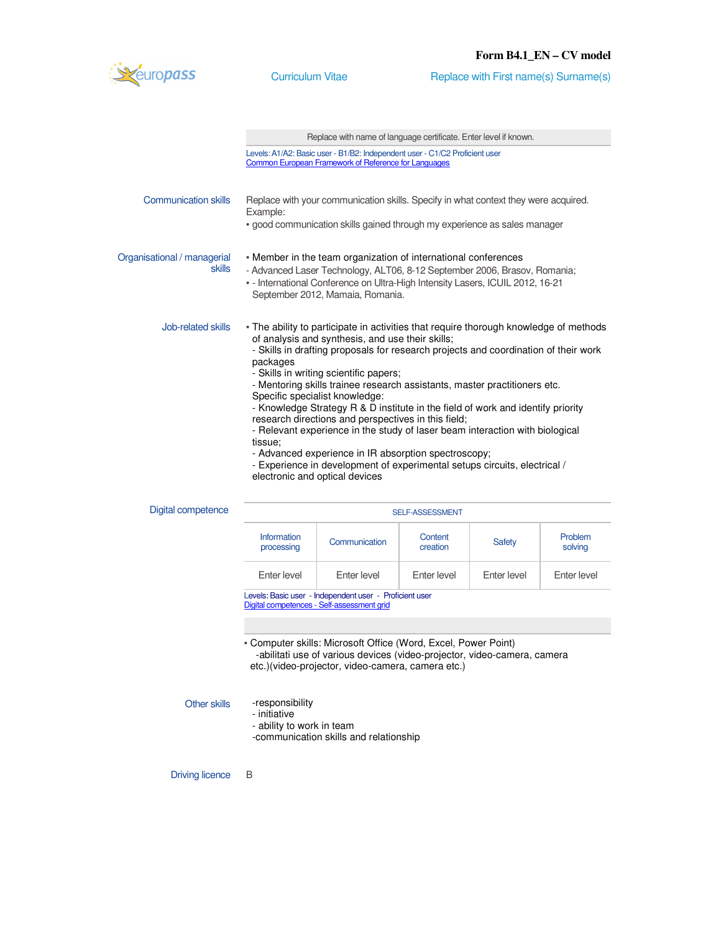

Curriculum Vitae Replace with First name(s) Surname(s)

|                                       | Replace with name of language certificate. Enter level if known.                                                                                                                                                                                                                                                                                                                                                                                                                                                                                                                                                                                                                                                                                                                |  |  |
|---------------------------------------|---------------------------------------------------------------------------------------------------------------------------------------------------------------------------------------------------------------------------------------------------------------------------------------------------------------------------------------------------------------------------------------------------------------------------------------------------------------------------------------------------------------------------------------------------------------------------------------------------------------------------------------------------------------------------------------------------------------------------------------------------------------------------------|--|--|
|                                       | Levels: A1/A2: Basic user - B1/B2: Independent user - C1/C2 Proficient user<br><b>Common European Framework of Reference for Languages</b>                                                                                                                                                                                                                                                                                                                                                                                                                                                                                                                                                                                                                                      |  |  |
| <b>Communication skills</b>           | Replace with your communication skills. Specify in what context they were acquired.<br>Example:<br>· good communication skills gained through my experience as sales manager                                                                                                                                                                                                                                                                                                                                                                                                                                                                                                                                                                                                    |  |  |
| Organisational / managerial<br>skills | - Member in the team organization of international conferences<br>- Advanced Laser Technology, ALT06, 8-12 September 2006, Brasov, Romania;<br>- International Conference on Ultra-High Intensity Lasers, ICUIL 2012, 16-21<br>September 2012, Mamaia, Romania.                                                                                                                                                                                                                                                                                                                                                                                                                                                                                                                 |  |  |
| Job-related skills                    | - The ability to participate in activities that require thorough knowledge of methods<br>of analysis and synthesis, and use their skills;<br>- Skills in drafting proposals for research projects and coordination of their work<br>packages<br>- Skills in writing scientific papers;<br>- Mentoring skills trainee research assistants, master practitioners etc.<br>Specific specialist knowledge:<br>- Knowledge Strategy R & D institute in the field of work and identify priority<br>research directions and perspectives in this field;<br>- Relevant experience in the study of laser beam interaction with biological<br>tissue;<br>- Advanced experience in IR absorption spectroscopy;<br>- Experience in development of experimental setups circuits, electrical / |  |  |

electronic and optical devices

| Digital competence | <b>SELF-ASSESSMENT</b>           |               |                     |               |                    |  |
|--------------------|----------------------------------|---------------|---------------------|---------------|--------------------|--|
|                    | <b>Information</b><br>processing | Communication | Content<br>creation | <b>Safety</b> | Problem<br>solving |  |
|                    | Enter level                      | Enter level   | Enter level         | Enter level   | Enter level        |  |
|                    |                                  |               |                     |               |                    |  |

Levels: Basic user - Independent user - Proficient user Digital competences - Self-assessment grid

▪ Computer skills: Microsoft Office (Word, Excel, Power Point) -abilitati use of various devices (video-projector, video-camera, camera etc.)(video-projector, video-camera, camera etc.)

```
Other skills -responsibility
```
- initiative

- ability to work in team

-communication skills and relationship

Driving licence B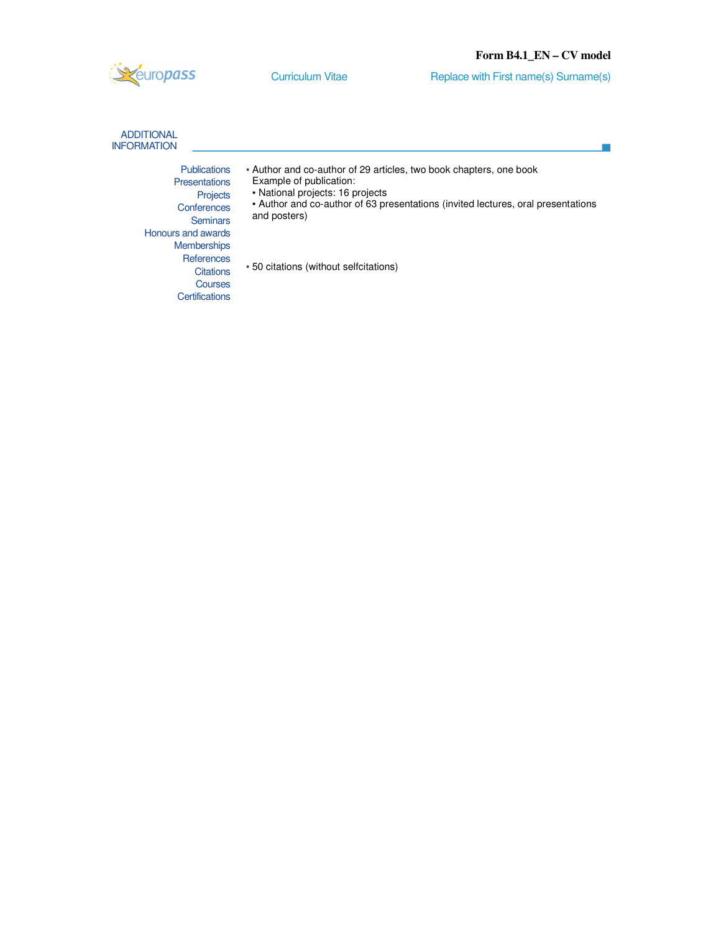Curriculum Vitae Replace with First name(s) Surname(s)

| <b>ADDITIONAL</b><br><b>INFORMATION</b>                                                          |                                                                                                                                                                                                                                       |
|--------------------------------------------------------------------------------------------------|---------------------------------------------------------------------------------------------------------------------------------------------------------------------------------------------------------------------------------------|
| <b>Publications</b><br><b>Presentations</b><br>Projects<br>Conferences<br><b>Seminars</b>        | - Author and co-author of 29 articles, two book chapters, one book<br>Example of publication:<br>• National projects: 16 projects<br>• Author and co-author of 63 presentations (invited lectures, oral presentations<br>and posters) |
| Honours and awards<br><b>Memberships</b><br>References<br>Citations<br>Courses<br>Certifications | - 50 citations (without selfcitations)                                                                                                                                                                                                |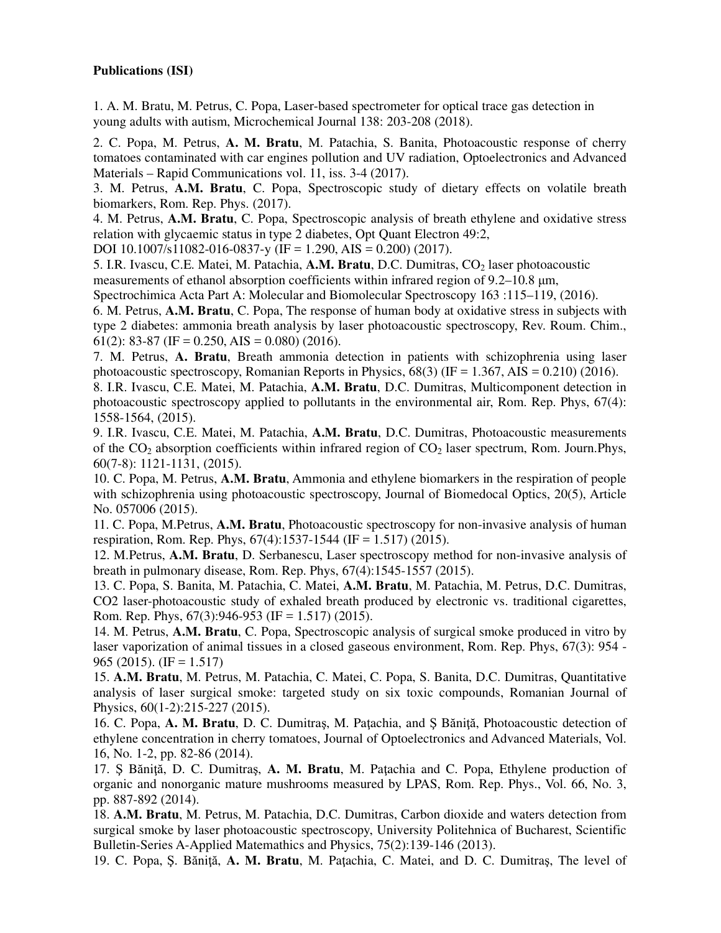## **Publications (ISI)**

1. A. M. Bratu, M. Petrus, C. Popa, Laser-based spectrometer for optical trace gas detection in young adults with autism, Microchemical Journal 138: 203-208 (2018).

2. C. Popa, M. Petrus, **A. M. Bratu**, M. Patachia, S. Banita, Photoacoustic response of cherry tomatoes contaminated with car engines pollution and UV radiation, Optoelectronics and Advanced Materials – Rapid Communications vol. 11, iss. 3-4 (2017).

3. M. Petrus, **A.M. Bratu**, C. Popa, Spectroscopic study of dietary effects on volatile breath biomarkers, Rom. Rep. Phys. (2017).

4. M. Petrus, **A.M. Bratu**, C. Popa, Spectroscopic analysis of breath ethylene and oxidative stress relation with glycaemic status in type 2 diabetes, Opt Quant Electron 49:2,

DOI 10.1007/s11082-016-0837-y (IF = 1.290, AIS = 0.200) (2017).

5. I.R. Ivascu, C.E. Matei, M. Patachia, A.M. Bratu, D.C. Dumitras, CO<sub>2</sub> laser photoacoustic measurements of ethanol absorption coefficients within infrared region of 9.2–10.8 μm,

Spectrochimica Acta Part A: Molecular and Biomolecular Spectroscopy 163 :115–119, (2016).

6. M. Petrus, **A.M. Bratu**, C. Popa, The response of human body at oxidative stress in subjects with type 2 diabetes: ammonia breath analysis by laser photoacoustic spectroscopy, Rev. Roum. Chim., 61(2): 83-87 (IF = 0.250, AIS = 0.080) (2016).

7. M. Petrus, **A. Bratu**, Breath ammonia detection in patients with schizophrenia using laser photoacoustic spectroscopy, Romanian Reports in Physics,  $68(3)$  (IF = 1.367, AIS = 0.210) (2016).

8. I.R. Ivascu, C.E. Matei, M. Patachia, **A.M. Bratu**, D.C. Dumitras, Multicomponent detection in photoacoustic spectroscopy applied to pollutants in the environmental air, Rom. Rep. Phys, 67(4): 1558-1564, (2015).

9. I.R. Ivascu, C.E. Matei, M. Patachia, **A.M. Bratu**, D.C. Dumitras, Photoacoustic measurements of the  $CO<sub>2</sub>$  absorption coefficients within infrared region of  $CO<sub>2</sub>$  laser spectrum, Rom. Journ.Phys, 60(7-8): 1121-1131, (2015).

10. C. Popa, M. Petrus, **A.M. Bratu**, Ammonia and ethylene biomarkers in the respiration of people with schizophrenia using photoacoustic spectroscopy, Journal of Biomedocal Optics, 20(5), Article No. 057006 (2015).

11. C. Popa, M.Petrus, **A.M. Bratu**, Photoacoustic spectroscopy for non-invasive analysis of human respiration, Rom. Rep. Phys, 67(4):1537-1544 (IF = 1.517) (2015).

12. M.Petrus, **A.M. Bratu**, D. Serbanescu, Laser spectroscopy method for non-invasive analysis of breath in pulmonary disease, Rom. Rep. Phys, 67(4):1545-1557 (2015).

13. C. Popa, S. Banita, M. Patachia, C. Matei, **A.M. Bratu**, M. Patachia, M. Petrus, D.C. Dumitras, CO2 laser-photoacoustic study of exhaled breath produced by electronic vs. traditional cigarettes, Rom. Rep. Phys,  $67(3):946-953$  (IF = 1.517) (2015).

14. M. Petrus, **A.M. Bratu**, C. Popa, Spectroscopic analysis of surgical smoke produced in vitro by laser vaporization of animal tissues in a closed gaseous environment, Rom. Rep. Phys, 67(3): 954 - 965 (2015). (IF = 1.517)

15. **A.M. Bratu**, M. Petrus, M. Patachia, C. Matei, C. Popa, S. Banita, D.C. Dumitras, Quantitative analysis of laser surgical smoke: targeted study on six toxic compounds, Romanian Journal of Physics, 60(1-2):215-227 (2015).

16. C. Popa, **A. M. Bratu**, D. C. Dumitraş, M. Paţachia, and Ş Băniţă, Photoacoustic detection of ethylene concentration in cherry tomatoes, Journal of Optoelectronics and Advanced Materials, Vol. 16, No. 1-2, pp. 82-86 (2014).

17. Ş Băniţă, D. C. Dumitraş, **A. M. Bratu**, M. Paţachia and C. Popa, Ethylene production of organic and nonorganic mature mushrooms measured by LPAS, Rom. Rep. Phys., Vol. 66, No. 3, pp. 887-892 (2014).

18. **A.M. Bratu**, M. Petrus, M. Patachia, D.C. Dumitras, Carbon dioxide and waters detection from surgical smoke by laser photoacoustic spectroscopy, University Politehnica of Bucharest, Scientific Bulletin-Series A-Applied Matemathics and Physics, 75(2):139-146 (2013).

19. C. Popa, Ş. Băniţă, **A. M. Bratu**, M. Paţachia, C. Matei, and D. C. Dumitraş, The level of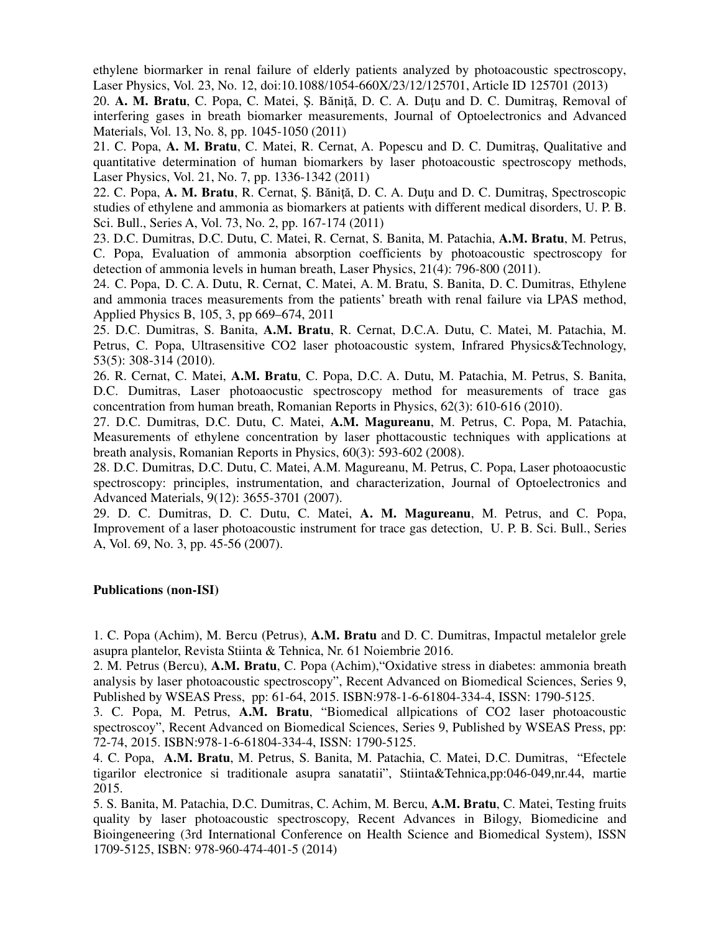ethylene biormarker in renal failure of elderly patients analyzed by photoacoustic spectroscopy, Laser Physics, Vol. 23, No. 12, doi:10.1088/1054-660X/23/12/125701, Article ID 125701 (2013)

20. **A. M. Bratu**, C. Popa, C. Matei, Ş. Băniţă, D. C. A. Duţu and D. C. Dumitraş, Removal of interfering gases in breath biomarker measurements, Journal of Optoelectronics and Advanced Materials, Vol. 13, No. 8, pp. 1045-1050 (2011)

21. C. Popa, **A. M. Bratu**, C. Matei, R. Cernat, A. Popescu and D. C. Dumitraş, Qualitative and quantitative determination of human biomarkers by laser photoacoustic spectroscopy methods, Laser Physics, Vol. 21, No. 7, pp. 1336-1342 (2011)

22. C. Popa, **A. M. Bratu**, R. Cernat, Ş. Băniţă, D. C. A. Duţu and D. C. Dumitraş, Spectroscopic studies of ethylene and ammonia as biomarkers at patients with different medical disorders, U. P. B. Sci. Bull., Series A, Vol. 73, No. 2, pp. 167-174 (2011)

23. D.C. Dumitras, D.C. Dutu, C. Matei, R. Cernat, S. Banita, M. Patachia, **A.M. Bratu**, M. Petrus, C. Popa, Evaluation of ammonia absorption coefficients by photoacoustic spectroscopy for detection of ammonia levels in human breath, Laser Physics, 21(4): 796-800 (2011).

24. C. Popa, D. C. A. Dutu, R. Cernat, C. Matei, A. M. Bratu, S. Banita, D. C. Dumitras, Ethylene and ammonia traces measurements from the patients' breath with renal failure via LPAS method, Applied Physics B, 105, 3, pp 669–674, 2011

25. D.C. Dumitras, S. Banita, **A.M. Bratu**, R. Cernat, D.C.A. Dutu, C. Matei, M. Patachia, M. Petrus, C. Popa, Ultrasensitive CO2 laser photoacoustic system, Infrared Physics&Technology, 53(5): 308-314 (2010).

26. R. Cernat, C. Matei, **A.M. Bratu**, C. Popa, D.C. A. Dutu, M. Patachia, M. Petrus, S. Banita, D.C. Dumitras, Laser photoaocustic spectroscopy method for measurements of trace gas concentration from human breath, Romanian Reports in Physics, 62(3): 610-616 (2010).

27. D.C. Dumitras, D.C. Dutu, C. Matei, **A.M. Magureanu**, M. Petrus, C. Popa, M. Patachia, Measurements of ethylene concentration by laser phottacoustic techniques with applications at breath analysis, Romanian Reports in Physics, 60(3): 593-602 (2008).

28. D.C. Dumitras, D.C. Dutu, C. Matei, A.M. Magureanu, M. Petrus, C. Popa, Laser photoaocustic spectroscopy: principles, instrumentation, and characterization, Journal of Optoelectronics and Advanced Materials, 9(12): 3655-3701 (2007).

29. D. C. Dumitras, D. C. Dutu, C. Matei, **A. M. Magureanu**, M. Petrus, and C. Popa, Improvement of a laser photoacoustic instrument for trace gas detection, U. P. B. Sci. Bull., Series A, Vol. 69, No. 3, pp. 45-56 (2007).

### **Publications (non-ISI)**

1. C. Popa (Achim), M. Bercu (Petrus), **A.M. Bratu** and D. C. Dumitras, Impactul metalelor grele asupra plantelor, Revista Stiinta & Tehnica, Nr. 61 Noiembrie 2016.

2. M. Petrus (Bercu), **A.M. Bratu**, C. Popa (Achim),"Oxidative stress in diabetes: ammonia breath analysis by laser photoacoustic spectroscopy", Recent Advanced on Biomedical Sciences, Series 9, Published by WSEAS Press, pp: 61-64, 2015. ISBN:978-1-6-61804-334-4, ISSN: 1790-5125.

3. C. Popa, M. Petrus, **A.M. Bratu**, "Biomedical allpications of CO2 laser photoacoustic spectroscoy", Recent Advanced on Biomedical Sciences, Series 9, Published by WSEAS Press, pp: 72-74, 2015. ISBN:978-1-6-61804-334-4, ISSN: 1790-5125.

4. C. Popa, **A.M. Bratu**, M. Petrus, S. Banita, M. Patachia, C. Matei, D.C. Dumitras, "Efectele tigarilor electronice si traditionale asupra sanatatii", Stiinta&Tehnica,pp:046-049,nr.44, martie 2015.

5. S. Banita, M. Patachia, D.C. Dumitras, C. Achim, M. Bercu, **A.M. Bratu**, C. Matei, Testing fruits quality by laser photoacoustic spectroscopy, Recent Advances in Bilogy, Biomedicine and Bioingeneering (3rd International Conference on Health Science and Biomedical System), ISSN 1709-5125, ISBN: 978-960-474-401-5 (2014)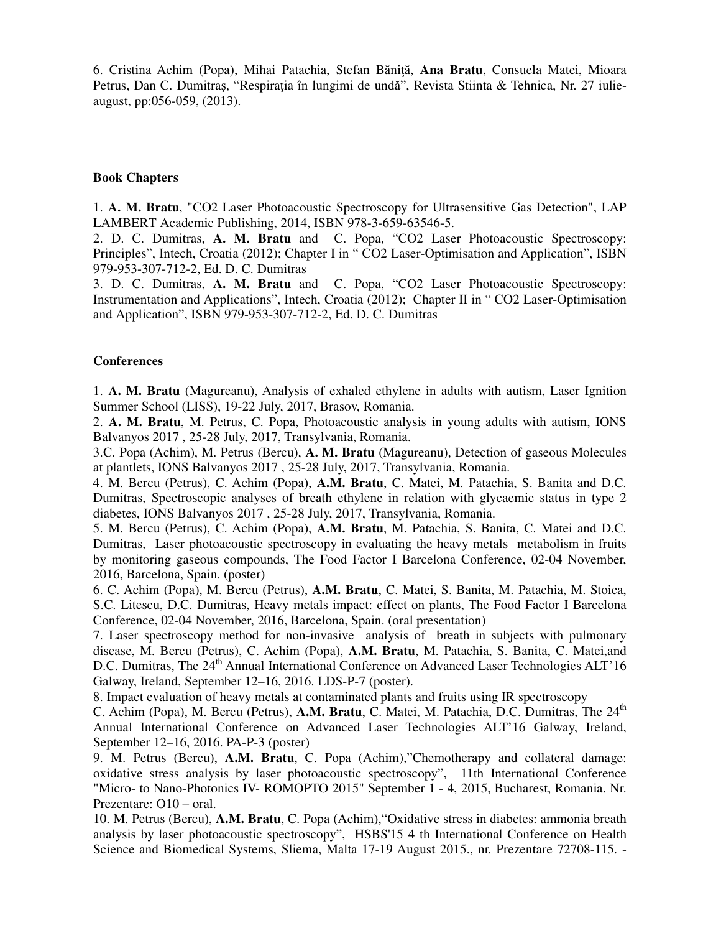6. Cristina Achim (Popa), Mihai Patachia, Stefan Băniţă, **Ana Bratu**, Consuela Matei, Mioara Petrus, Dan C. Dumitraş, "Respiraţia în lungimi de undă", Revista Stiinta & Tehnica, Nr. 27 iulieaugust, pp:056-059, (2013).

### **Book Chapters**

1. **A. M. Bratu**, "CO2 Laser Photoacoustic Spectroscopy for Ultrasensitive Gas Detection", LAP LAMBERT Academic Publishing, 2014, ISBN 978-3-659-63546-5.

2. D. C. Dumitras, **A. M. Bratu** and C. Popa, "CO2 Laser Photoacoustic Spectroscopy: Principles", Intech, Croatia (2012); Chapter I in " CO2 Laser-Optimisation and Application", ISBN 979-953-307-712-2, Ed. D. C. Dumitras

3. D. C. Dumitras, **A. M. Bratu** and C. Popa, "CO2 Laser Photoacoustic Spectroscopy: Instrumentation and Applications", Intech, Croatia (2012); Chapter II in " CO2 Laser-Optimisation and Application", ISBN 979-953-307-712-2, Ed. D. C. Dumitras

#### **Conferences**

1. **A. M. Bratu** (Magureanu), Analysis of exhaled ethylene in adults with autism, Laser Ignition Summer School (LISS), 19-22 July, 2017, Brasov, Romania.

2. **A. M. Bratu**, M. Petrus, C. Popa, Photoacoustic analysis in young adults with autism, IONS Balvanyos 2017 , 25-28 July, 2017, Transylvania, Romania.

3.C. Popa (Achim), M. Petrus (Bercu), **A. M. Bratu** (Magureanu), Detection of gaseous Molecules at plantlets, IONS Balvanyos 2017 , 25-28 July, 2017, Transylvania, Romania.

4. M. Bercu (Petrus), C. Achim (Popa), **A.M. Bratu**, C. Matei, M. Patachia, S. Banita and D.C. Dumitras, Spectroscopic analyses of breath ethylene in relation with glycaemic status in type 2 diabetes, IONS Balvanyos 2017 , 25-28 July, 2017, Transylvania, Romania.

5. M. Bercu (Petrus), C. Achim (Popa), **A.M. Bratu**, M. Patachia, S. Banita, C. Matei and D.C. Dumitras, Laser photoacoustic spectroscopy in evaluating the heavy metals metabolism in fruits by monitoring gaseous compounds, The Food Factor I Barcelona Conference, 02-04 November, 2016, Barcelona, Spain. (poster)

6. C. Achim (Popa), M. Bercu (Petrus), **A.M. Bratu**, C. Matei, S. Banita, M. Patachia, M. Stoica, S.C. Litescu, D.C. Dumitras, Heavy metals impact: effect on plants, The Food Factor I Barcelona Conference, 02-04 November, 2016, Barcelona, Spain. (oral presentation)

7. Laser spectroscopy method for non-invasive analysis of breath in subjects with pulmonary disease, M. Bercu (Petrus), C. Achim (Popa), **A.M. Bratu**, M. Patachia, S. Banita, C. Matei,and D.C. Dumitras, The 24<sup>th</sup> Annual International Conference on Advanced Laser Technologies ALT'16 Galway, Ireland, September 12–16, 2016. LDS-P-7 (poster).

8. Impact evaluation of heavy metals at contaminated plants and fruits using IR spectroscopy

C. Achim (Popa), M. Bercu (Petrus), A.M. Bratu, C. Matei, M. Patachia, D.C. Dumitras, The 24<sup>th</sup> Annual International Conference on Advanced Laser Technologies ALT'16 Galway, Ireland, September 12–16, 2016. PA-P-3 (poster)

9. M. Petrus (Bercu), **A.M. Bratu**, C. Popa (Achim),"Chemotherapy and collateral damage: oxidative stress analysis by laser photoacoustic spectroscopy", 11th International Conference "Micro- to Nano-Photonics IV- ROMOPTO 2015" September 1 - 4, 2015, Bucharest, Romania. Nr. Prezentare: O10 – oral.

10. M. Petrus (Bercu), **A.M. Bratu**, C. Popa (Achim),"Oxidative stress in diabetes: ammonia breath analysis by laser photoacoustic spectroscopy", HSBS'15 4 th International Conference on Health Science and Biomedical Systems, Sliema, Malta 17-19 August 2015., nr. Prezentare 72708-115. -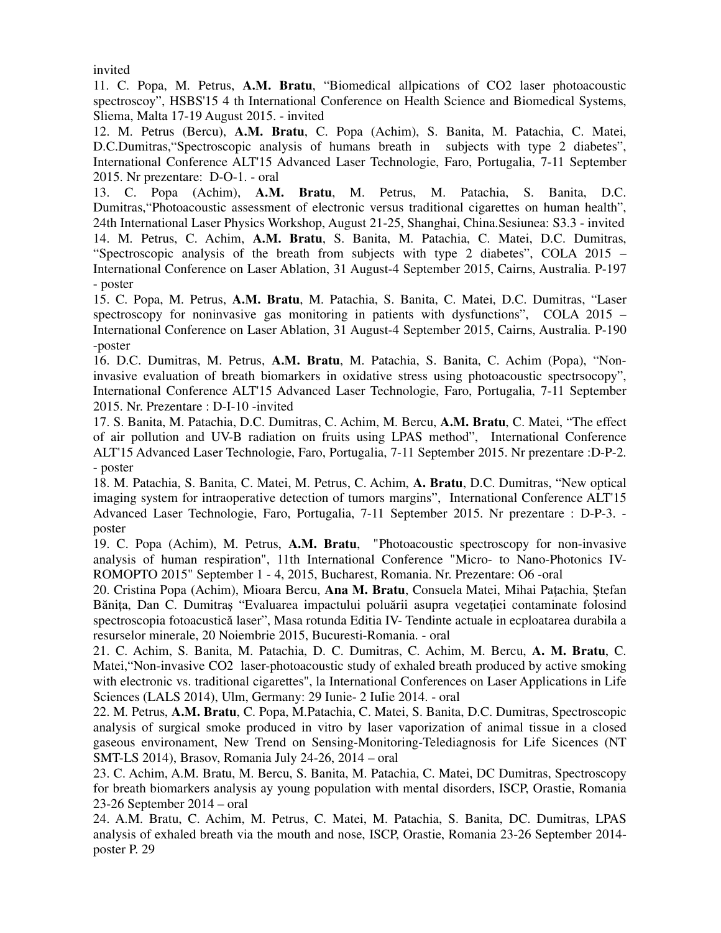invited

11. C. Popa, M. Petrus, **A.M. Bratu**, "Biomedical allpications of CO2 laser photoacoustic spectroscoy", HSBS'15 4 th International Conference on Health Science and Biomedical Systems, Sliema, Malta 17-19 August 2015. - invited

12. M. Petrus (Bercu), **A.M. Bratu**, C. Popa (Achim), S. Banita, M. Patachia, C. Matei, D.C.Dumitras,"Spectroscopic analysis of humans breath in subjects with type 2 diabetes", International Conference ALT'15 Advanced Laser Technologie, Faro, Portugalia, 7-11 September 2015. Nr prezentare: D-O-1. - oral

13. C. Popa (Achim), **A.M. Bratu**, M. Petrus, M. Patachia, S. Banita, D.C. Dumitras,"Photoacoustic assessment of electronic versus traditional cigarettes on human health", 24th International Laser Physics Workshop, August 21-25, Shanghai, China.Sesiunea: S3.3 - invited 14. M. Petrus, C. Achim, **A.M. Bratu**, S. Banita, M. Patachia, C. Matei, D.C. Dumitras, "Spectroscopic analysis of the breath from subjects with type 2 diabetes", COLA 2015 – International Conference on Laser Ablation, 31 August-4 September 2015, Cairns, Australia. P-197 - poster

15. C. Popa, M. Petrus, **A.M. Bratu**, M. Patachia, S. Banita, C. Matei, D.C. Dumitras, "Laser spectroscopy for noninvasive gas monitoring in patients with dysfunctions", COLA 2015 – International Conference on Laser Ablation, 31 August-4 September 2015, Cairns, Australia. P-190 -poster

16. D.C. Dumitras, M. Petrus, **A.M. Bratu**, M. Patachia, S. Banita, C. Achim (Popa), "Noninvasive evaluation of breath biomarkers in oxidative stress using photoacoustic spectrsocopy", International Conference ALT'15 Advanced Laser Technologie, Faro, Portugalia, 7-11 September 2015. Nr. Prezentare : D-I-10 -invited

17. S. Banita, M. Patachia, D.C. Dumitras, C. Achim, M. Bercu, **A.M. Bratu**, C. Matei, "The effect of air pollution and UV-B radiation on fruits using LPAS method", International Conference ALT'15 Advanced Laser Technologie, Faro, Portugalia, 7-11 September 2015. Nr prezentare :D-P-2. - poster

18. M. Patachia, S. Banita, C. Matei, M. Petrus, C. Achim, **A. Bratu**, D.C. Dumitras, "New optical imaging system for intraoperative detection of tumors margins", International Conference ALT'15 Advanced Laser Technologie, Faro, Portugalia, 7-11 September 2015. Nr prezentare : D-P-3. poster

19. C. Popa (Achim), M. Petrus, **A.M. Bratu**, "Photoacoustic spectroscopy for non-invasive analysis of human respiration", 11th International Conference "Micro- to Nano-Photonics IV-ROMOPTO 2015" September 1 - 4, 2015, Bucharest, Romania. Nr. Prezentare: O6 -oral

20. Cristina Popa (Achim), Mioara Bercu, **Ana M. Bratu**, Consuela Matei, Mihai Paţachia, Ştefan Băniţa, Dan C. Dumitraş "Evaluarea impactului poluării asupra vegetaţiei contaminate folosind spectroscopia fotoacustică laser", Masa rotunda Editia IV- Tendinte actuale in ecploatarea durabila a resurselor minerale, 20 Noiembrie 2015, Bucuresti-Romania. - oral

21. C. Achim, S. Banita, M. Patachia, D. C. Dumitras, C. Achim, M. Bercu, **A. M. Bratu**, C. Matei,"Non-invasive CO2 laser-photoacoustic study of exhaled breath produced by active smoking with electronic vs. traditional cigarettes", la International Conferences on Laser Applications in Life Sciences (LALS 2014), Ulm, Germany: 29 Iunie- 2 IuIie 2014. - oral

22. M. Petrus, **A.M. Bratu**, C. Popa, M.Patachia, C. Matei, S. Banita, D.C. Dumitras, Spectroscopic analysis of surgical smoke produced in vitro by laser vaporization of animal tissue in a closed gaseous environament, New Trend on Sensing-Monitoring-Telediagnosis for Life Sicences (NT SMT-LS 2014), Brasov, Romania July 24-26, 2014 – oral

23. C. Achim, A.M. Bratu, M. Bercu, S. Banita, M. Patachia, C. Matei, DC Dumitras, Spectroscopy for breath biomarkers analysis ay young population with mental disorders, ISCP, Orastie, Romania 23-26 September 2014 – oral

24. A.M. Bratu, C. Achim, M. Petrus, C. Matei, M. Patachia, S. Banita, DC. Dumitras, LPAS analysis of exhaled breath via the mouth and nose, ISCP, Orastie, Romania 23-26 September 2014 poster P. 29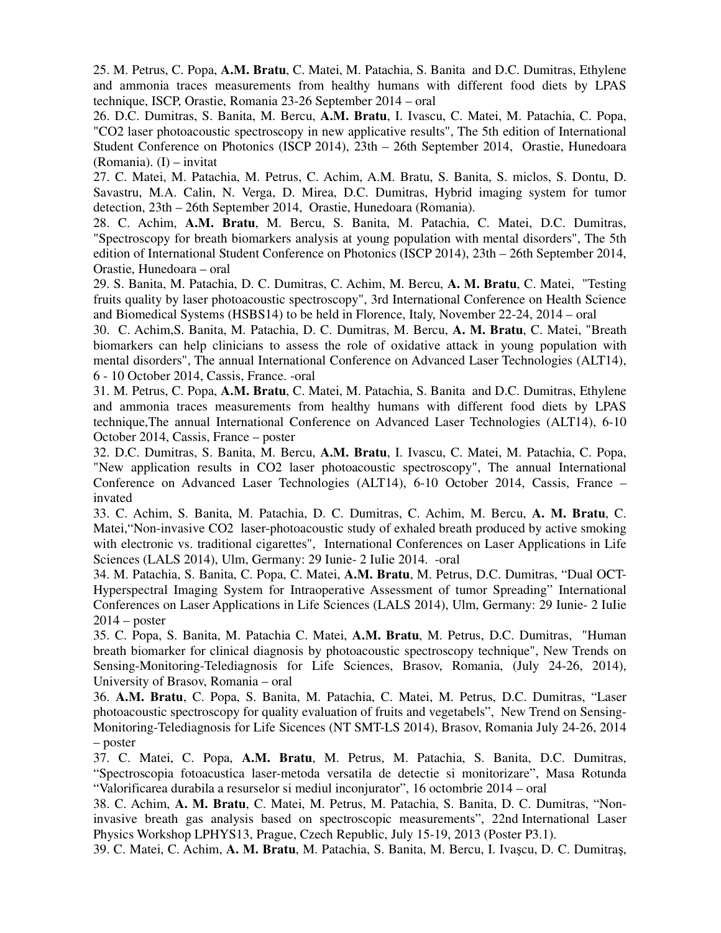25. M. Petrus, C. Popa, **A.M. Bratu**, C. Matei, M. Patachia, S. Banita and D.C. Dumitras, Ethylene and ammonia traces measurements from healthy humans with different food diets by LPAS technique, ISCP, Orastie, Romania 23-26 September 2014 – oral

26. D.C. Dumitras, S. Banita, M. Bercu, **A.M. Bratu**, I. Ivascu, C. Matei, M. Patachia, C. Popa, "CO2 laser photoacoustic spectroscopy in new applicative results", The 5th edition of International Student Conference on Photonics (ISCP 2014), 23th – 26th September 2014, Orastie, Hunedoara (Romania). (I) – invitat

27. C. Matei, M. Patachia, M. Petrus, C. Achim, A.M. Bratu, S. Banita, S. miclos, S. Dontu, D. Savastru, M.A. Calin, N. Verga, D. Mirea, D.C. Dumitras, Hybrid imaging system for tumor detection, 23th – 26th September 2014, Orastie, Hunedoara (Romania).

28. C. Achim, **A.M. Bratu**, M. Bercu, S. Banita, M. Patachia, C. Matei, D.C. Dumitras, "Spectroscopy for breath biomarkers analysis at young population with mental disorders", The 5th edition of International Student Conference on Photonics (ISCP 2014), 23th – 26th September 2014, Orastie, Hunedoara – oral

29. S. Banita, M. Patachia, D. C. Dumitras, C. Achim, M. Bercu, **A. M. Bratu**, C. Matei, "Testing fruits quality by laser photoacoustic spectroscopy", 3rd International Conference on Health Science and Biomedical Systems (HSBS14) to be held in Florence, Italy, November 22-24, 2014 – oral

30. C. Achim,S. Banita, M. Patachia, D. C. Dumitras, M. Bercu, **A. M. Bratu**, C. Matei, "Breath biomarkers can help clinicians to assess the role of oxidative attack in young population with mental disorders", The annual International Conference on Advanced Laser Technologies (ALT14), 6 - 10 October 2014, Cassis, France. -oral

31. M. Petrus, C. Popa, **A.M. Bratu**, C. Matei, M. Patachia, S. Banita and D.C. Dumitras, Ethylene and ammonia traces measurements from healthy humans with different food diets by LPAS technique,The annual International Conference on Advanced Laser Technologies (ALT14), 6-10 October 2014, Cassis, France – poster

32. D.C. Dumitras, S. Banita, M. Bercu, **A.M. Bratu**, I. Ivascu, C. Matei, M. Patachia, C. Popa, "New application results in CO2 laser photoacoustic spectroscopy", The annual International Conference on Advanced Laser Technologies (ALT14), 6-10 October 2014, Cassis, France – invated

33. C. Achim, S. Banita, M. Patachia, D. C. Dumitras, C. Achim, M. Bercu, **A. M. Bratu**, C. Matei,"Non-invasive CO2 laser-photoacoustic study of exhaled breath produced by active smoking with electronic vs. traditional cigarettes", International Conferences on Laser Applications in Life Sciences (LALS 2014), Ulm, Germany: 29 Iunie- 2 IuIie 2014. -oral

34. M. Patachia, S. Banita, C. Popa, C. Matei, **A.M. Bratu**, M. Petrus, D.C. Dumitras, "Dual OCT-Hyperspectral Imaging System for Intraoperative Assessment of tumor Spreading" International Conferences on Laser Applications in Life Sciences (LALS 2014), Ulm, Germany: 29 Iunie- 2 IuIie  $2014 -$  poster

35. C. Popa, S. Banita, M. Patachia C. Matei, **A.M. Bratu**, M. Petrus, D.C. Dumitras, "Human breath biomarker for clinical diagnosis by photoacoustic spectroscopy technique", New Trends on Sensing-Monitoring-Telediagnosis for Life Sciences, Brasov, Romania, (July 24-26, 2014), University of Brasov, Romania – oral

36. **A.M. Bratu**, C. Popa, S. Banita, M. Patachia, C. Matei, M. Petrus, D.C. Dumitras, "Laser photoacoustic spectroscopy for quality evaluation of fruits and vegetabels", New Trend on Sensing-Monitoring-Telediagnosis for Life Sicences (NT SMT-LS 2014), Brasov, Romania July 24-26, 2014 – poster

37. C. Matei, C. Popa, **A.M. Bratu**, M. Petrus, M. Patachia, S. Banita, D.C. Dumitras, "Spectroscopia fotoacustica laser-metoda versatila de detectie si monitorizare", Masa Rotunda "Valorificarea durabila a resurselor si mediul inconjurator", 16 octombrie 2014 – oral

38. C. Achim, **A. M. Bratu**, C. Matei, M. Petrus, M. Patachia, S. Banita, D. C. Dumitras, "Noninvasive breath gas analysis based on spectroscopic measurements", 22nd International Laser Physics Workshop LPHYS13, Prague, Czech Republic, July 15-19, 2013 (Poster P3.1).

39. C. Matei, C. Achim, **A. M. Bratu**, M. Patachia, S. Banita, M. Bercu, I. Ivaşcu, D. C. Dumitraş,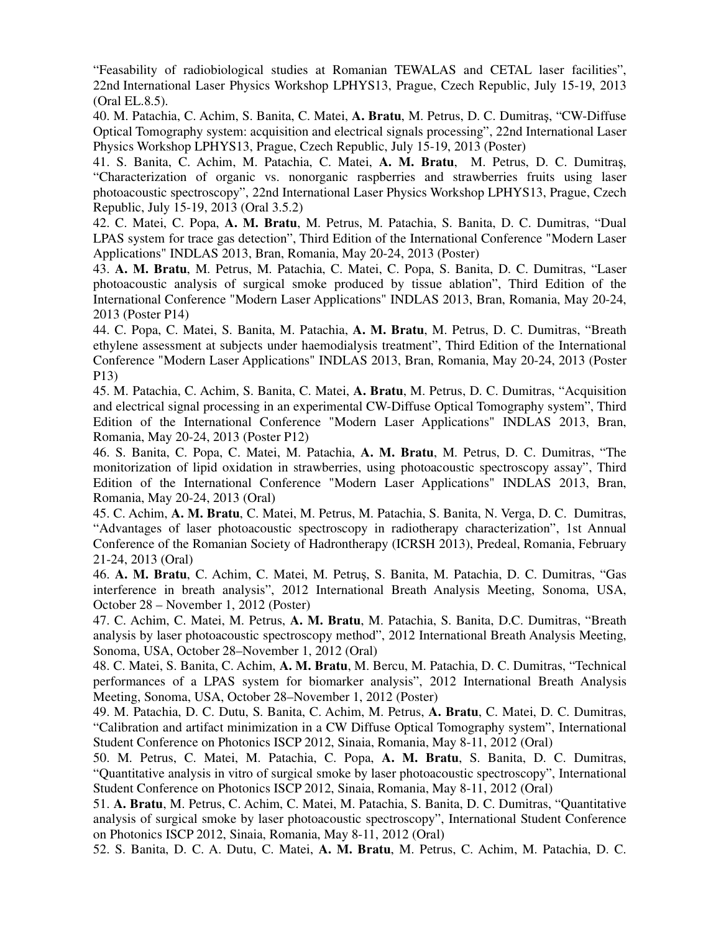"Feasability of radiobiological studies at Romanian TEWALAS and CETAL laser facilities", 22nd International Laser Physics Workshop LPHYS13, Prague, Czech Republic, July 15-19, 2013 (Oral EL.8.5).

40. M. Patachia, C. Achim, S. Banita, C. Matei, **A. Bratu**, M. Petrus, D. C. Dumitraş, "CW-Diffuse Optical Tomography system: acquisition and electrical signals processing", 22nd International Laser Physics Workshop LPHYS13, Prague, Czech Republic, July 15-19, 2013 (Poster)

41. S. Banita, C. Achim, M. Patachia, C. Matei, **A. M. Bratu**, M. Petrus, D. C. Dumitraş, "Characterization of organic vs. nonorganic raspberries and strawberries fruits using laser photoacoustic spectroscopy", 22nd International Laser Physics Workshop LPHYS13, Prague, Czech Republic, July 15-19, 2013 (Oral 3.5.2)

42. C. Matei, C. Popa, **A. M. Bratu**, M. Petrus, M. Patachia, S. Banita, D. C. Dumitras, "Dual LPAS system for trace gas detection", Third Edition of the International Conference "Modern Laser Applications" INDLAS 2013, Bran, Romania, May 20-24, 2013 (Poster)

43. **A. M. Bratu**, M. Petrus, M. Patachia, C. Matei, C. Popa, S. Banita, D. C. Dumitras, "Laser photoacoustic analysis of surgical smoke produced by tissue ablation", Third Edition of the International Conference "Modern Laser Applications" INDLAS 2013, Bran, Romania, May 20-24, 2013 (Poster P14)

44. C. Popa, C. Matei, S. Banita, M. Patachia, **A. M. Bratu**, M. Petrus, D. C. Dumitras, "Breath ethylene assessment at subjects under haemodialysis treatment", Third Edition of the International Conference "Modern Laser Applications" INDLAS 2013, Bran, Romania, May 20-24, 2013 (Poster P13)

45. M. Patachia, C. Achim, S. Banita, C. Matei, **A. Bratu**, M. Petrus, D. C. Dumitras, "Acquisition and electrical signal processing in an experimental CW-Diffuse Optical Tomography system", Third Edition of the International Conference "Modern Laser Applications" INDLAS 2013, Bran, Romania, May 20-24, 2013 (Poster P12)

46. S. Banita, C. Popa, C. Matei, M. Patachia, **A. M. Bratu**, M. Petrus, D. C. Dumitras, "The monitorization of lipid oxidation in strawberries, using photoacoustic spectroscopy assay", Third Edition of the International Conference "Modern Laser Applications" INDLAS 2013, Bran, Romania, May 20-24, 2013 (Oral)

45. C. Achim, **A. M. Bratu**, C. Matei, M. Petrus, M. Patachia, S. Banita, N. Verga, D. C. Dumitras, "Advantages of laser photoacoustic spectroscopy in radiotherapy characterization", 1st Annual Conference of the Romanian Society of Hadrontherapy (ICRSH 2013), Predeal, Romania, February 21-24, 2013 (Oral)

46. **A. M. Bratu**, C. Achim, C. Matei, M. Petruş, S. Banita, M. Patachia, D. C. Dumitras, "Gas interference in breath analysis", 2012 International Breath Analysis Meeting, Sonoma, USA, October 28 – November 1, 2012 (Poster)

47. C. Achim, C. Matei, M. Petrus, **A. M. Bratu**, M. Patachia, S. Banita, D.C. Dumitras, "Breath analysis by laser photoacoustic spectroscopy method", 2012 International Breath Analysis Meeting, Sonoma, USA, October 28–November 1, 2012 (Oral)

48. C. Matei, S. Banita, C. Achim, **A. M. Bratu**, M. Bercu, M. Patachia, D. C. Dumitras, "Technical performances of a LPAS system for biomarker analysis", 2012 International Breath Analysis Meeting, Sonoma, USA, October 28–November 1, 2012 (Poster)

49. M. Patachia, D. C. Dutu, S. Banita, C. Achim, M. Petrus, **A. Bratu**, C. Matei, D. C. Dumitras, "Calibration and artifact minimization in a CW Diffuse Optical Tomography system", International Student Conference on Photonics ISCP 2012, Sinaia, Romania, May 8-11, 2012 (Oral)

50. M. Petrus, C. Matei, M. Patachia, C. Popa, **A. M. Bratu**, S. Banita, D. C. Dumitras, "Quantitative analysis in vitro of surgical smoke by laser photoacoustic spectroscopy", International Student Conference on Photonics ISCP 2012, Sinaia, Romania, May 8-11, 2012 (Oral)

51. **A. Bratu**, M. Petrus, C. Achim, C. Matei, M. Patachia, S. Banita, D. C. Dumitras, "Quantitative analysis of surgical smoke by laser photoacoustic spectroscopy", International Student Conference on Photonics ISCP 2012, Sinaia, Romania, May 8-11, 2012 (Oral)

52. S. Banita, D. C. A. Dutu, C. Matei, **A. M. Bratu**, M. Petrus, C. Achim, M. Patachia, D. C.